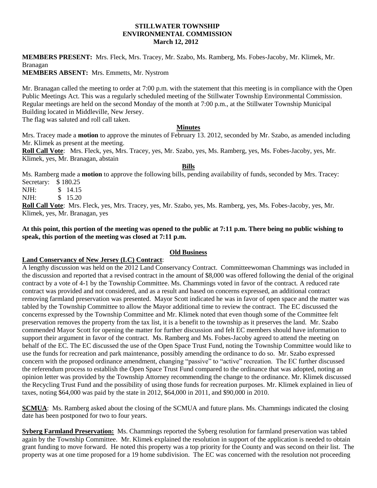#### **STILLWATER TOWNSHIP ENVIRONMENTAL COMMISSION March 12, 2012**

**MEMBERS PRESENT:** Mrs. Fleck, Mrs. Tracey, Mr. Szabo, Ms. Ramberg, Ms. Fobes-Jacoby, Mr. Klimek, Mr. Branagan

**MEMBERS ABSENT:** Mrs. Emmetts, Mr. Nystrom

Mr. Branagan called the meeting to order at 7:00 p.m. with the statement that this meeting is in compliance with the Open Public Meetings Act. This was a regularly scheduled meeting of the Stillwater Township Environmental Commission. Regular meetings are held on the second Monday of the month at 7:00 p.m., at the Stillwater Township Municipal Building located in Middleville, New Jersey.

The flag was saluted and roll call taken.

#### **Minutes**

Mrs. Tracey made a **motion** to approve the minutes of February 13. 2012, seconded by Mr. Szabo, as amended including Mr. Klimek as present at the meeting.

**Roll Call Vote**: Mrs. Fleck, yes, Mrs. Tracey, yes, Mr. Szabo, yes, Ms. Ramberg, yes, Ms. Fobes-Jacoby, yes, Mr. Klimek, yes, Mr. Branagan, abstain

#### **Bills**

Ms. Ramberg made a **motion** to approve the following bills, pending availability of funds, seconded by Mrs. Tracey: Secretary: \$ 180.25

NJH: \$ 14.15 NJH: \$ 15.20

**Roll Call Vote**: Mrs. Fleck, yes, Mrs. Tracey, yes, Mr. Szabo, yes, Ms. Ramberg, yes, Ms. Fobes-Jacoby, yes, Mr. Klimek, yes, Mr. Branagan, yes

## **At this point, this portion of the meeting was opened to the public at 7:11 p.m. There being no public wishing to speak, this portion of the meeting was closed at 7:11 p.m.**

## **Old Business**

## **Land Conservancy of New Jersey (LC) Contract**:

A lengthy discussion was held on the 2012 Land Conservancy Contract. Committeewoman Chammings was included in the discussion and reported that a revised contract in the amount of \$8,000 was offered following the denial of the original contract by a vote of 4-1 by the Township Committee. Ms. Chammings voted in favor of the contract. A reduced rate contract was provided and not considered, and as a result and based on concerns expressed, an additional contract removing farmland preservation was presented. Mayor Scott indicated he was in favor of open space and the matter was tabled by the Township Committee to allow the Mayor additional time to review the contract. The EC discussed the concerns expressed by the Township Committee and Mr. Klimek noted that even though some of the Committee felt preservation removes the property from the tax list, it is a benefit to the township as it preserves the land. Mr. Szabo commended Mayor Scott for opening the matter for further discussion and felt EC members should have information to support their argument in favor of the contract. Ms. Ramberg and Ms. Fobes-Jacoby agreed to attend the meeting on behalf of the EC. The EC discussed the use of the Open Space Trust Fund, noting the Township Committee would like to use the funds for recreation and park maintenance, possibly amending the ordinance to do so. Mr. Szabo expressed concern with the proposed ordinance amendment, changing "passive" to "active" recreation. The EC further discussed the referendum process to establish the Open Space Trust Fund compared to the ordinance that was adopted, noting an opinion letter was provided by the Township Attorney recommending the change to the ordinance. Mr. Klimek discussed the Recycling Trust Fund and the possibility of using those funds for recreation purposes. Mr. Klimek explained in lieu of taxes, noting \$64,000 was paid by the state in 2012, \$64,000 in 2011, and \$90,000 in 2010.

**SCMUA**: Ms. Ramberg asked about the closing of the SCMUA and future plans. Ms. Chammings indicated the closing date has been postponed for two to four years.

**Syberg Farmland Preservation:** Ms. Chammings reported the Syberg resolution for farmland preservation was tabled again by the Township Committee. Mr. Klimek explained the resolution in support of the application is needed to obtain grant funding to move forward. He noted this property was a top priority for the County and was second on their list. The property was at one time proposed for a 19 home subdivision. The EC was concerned with the resolution not proceeding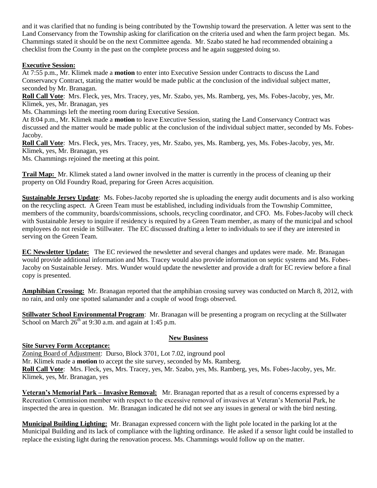and it was clarified that no funding is being contributed by the Township toward the preservation. A letter was sent to the Land Conservancy from the Township asking for clarification on the criteria used and when the farm project began. Ms. Chammings stated it should be on the next Committee agenda. Mr. Szabo stated he had recommended obtaining a checklist from the County in the past on the complete process and he again suggested doing so.

#### **Executive Session:**

At 7:55 p.m., Mr. Klimek made a **motion** to enter into Executive Session under Contracts to discuss the Land Conservancy Contract, stating the matter would be made public at the conclusion of the individual subject matter, seconded by Mr. Branagan.

**Roll Call Vote**: Mrs. Fleck, yes, Mrs. Tracey, yes, Mr. Szabo, yes, Ms. Ramberg, yes, Ms. Fobes-Jacoby, yes, Mr. Klimek, yes, Mr. Branagan, yes

Ms. Chammings left the meeting room during Executive Session.

At 8:04 p.m., Mr. Klimek made a **motion** to leave Executive Session, stating the Land Conservancy Contract was discussed and the matter would be made public at the conclusion of the individual subject matter, seconded by Ms. Fobes-Jacoby.

**Roll Call Vote**: Mrs. Fleck, yes, Mrs. Tracey, yes, Mr. Szabo, yes, Ms. Ramberg, yes, Ms. Fobes-Jacoby, yes, Mr. Klimek, yes, Mr. Branagan, yes

Ms. Chammings rejoined the meeting at this point.

**Trail Map:** Mr. Klimek stated a land owner involved in the matter is currently in the process of cleaning up their property on Old Foundry Road, preparing for Green Acres acquisition.

**Sustainable Jersey Update**: Ms. Fobes-Jacoby reported she is uploading the energy audit documents and is also working on the recycling aspect. A Green Team must be established, including individuals from the Township Committee, members of the community, boards/commissions, schools, recycling coordinator, and CFO. Ms. Fobes-Jacoby will check with Sustainable Jersey to inquire if residency is required by a Green Team member, as many of the municipal and school employees do not reside in Stillwater. The EC discussed drafting a letter to individuals to see if they are interested in serving on the Green Team.

**EC Newsletter Update:** The EC reviewed the newsletter and several changes and updates were made. Mr. Branagan would provide additional information and Mrs. Tracey would also provide information on septic systems and Ms. Fobes-Jacoby on Sustainable Jersey. Mrs. Wunder would update the newsletter and provide a draft for EC review before a final copy is presented.

**Amphibian Crossing:** Mr. Branagan reported that the amphibian crossing survey was conducted on March 8, 2012, with no rain, and only one spotted salamander and a couple of wood frogs observed.

**Stillwater School Environmental Program**: Mr. Branagan will be presenting a program on recycling at the Stillwater School on March  $26<sup>th</sup>$  at 9:30 a.m. and again at 1:45 p.m.

## **New Business**

# **Site Survey Form Acceptance:**

Zoning Board of Adjustment: Durso, Block 3701, Lot 7.02, inground pool Mr. Klimek made a **motion** to accept the site survey, seconded by Ms. Ramberg. **Roll Call Vote**: Mrs. Fleck, yes, Mrs. Tracey, yes, Mr. Szabo, yes, Ms. Ramberg, yes, Ms. Fobes-Jacoby, yes, Mr. Klimek, yes, Mr. Branagan, yes

**Veteran's Memorial Park – Invasive Removal:** Mr. Branagan reported that as a result of concerns expressed by a Recreation Commission member with respect to the excessive removal of invasives at Veteran's Memorial Park, he inspected the area in question. Mr. Branagan indicated he did not see any issues in general or with the bird nesting.

**Municipal Building Lighting:** Mr. Branagan expressed concern with the light pole located in the parking lot at the Municipal Building and its lack of compliance with the lighting ordinance. He asked if a sensor light could be installed to replace the existing light during the renovation process. Ms. Chammings would follow up on the matter.